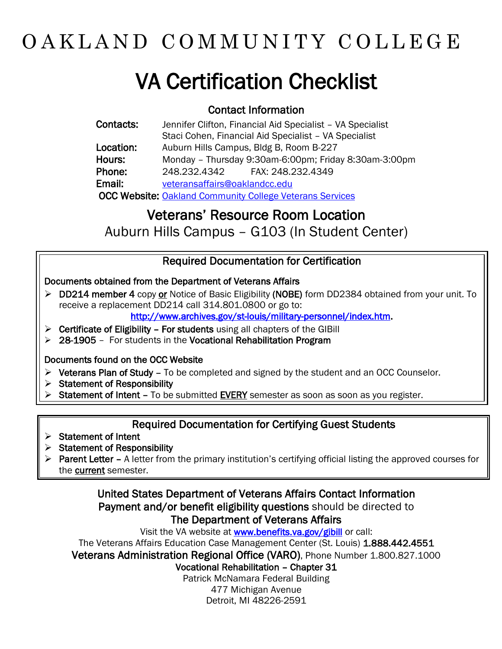# OAKLAND COMMUNITY COLLEGE

# VA Certification Checklist

#### Contact Information

| Contacts: | Jennifer Clifton, Financial Aid Specialist - VA Specialist      |
|-----------|-----------------------------------------------------------------|
|           | Staci Cohen, Financial Aid Specialist - VA Specialist           |
| Location: | Auburn Hills Campus, Bldg B, Room B-227                         |
| Hours:    | Monday - Thursday 9:30am-6:00pm; Friday 8:30am-3:00pm           |
| Phone:    | 248.232.4342 FAX: 248.232.4349                                  |
| Email:    | veteransaffairs@oaklandcc.edu                                   |
|           | <b>OCC Website: Oakland Community College Veterans Services</b> |

### Veterans' Resource Room Location

Auburn Hills Campus – G103 (In Student Center)

#### Required Documentation for Certification

#### Documents obtained from the Department of Veterans Affairs

- ▶ DD214 member 4 copy or Notice of Basic Eligibility (NOBE) form DD2384 obtained from your unit. To receive a replacement DD214 call 314.801.0800 or go to: [http://www.archives.gov/st-louis/military-personnel/index.htm.](http://www.archives.gov/st-louis/military-personnel/index.htm)
- $\triangleright$  Certificate of Eligibility For students using all chapters of the GIBill
- $>$  28-1905 For students in the Vocational Rehabilitation Program

#### Documents found on the OCC Website

- $\triangleright$  Veterans Plan of Study To be completed and signed by the student and an OCC Counselor.
- $\triangleright$  Statement of Responsibility
- Statement of Intent To be submitted EVERY semester as soon as soon as you register.

#### Required Documentation for Certifying Guest Students

- $\triangleright$  Statement of Intent
- $\triangleright$  Statement of Responsibility
- ▶ Parent Letter A letter from the primary institution's certifying official listing the approved courses for the current semester.

#### United States Department of Veterans Affairs Contact Information Payment and/or benefit eligibility questions should be directed to The Department of Veterans Affairs

Visit the VA website at [www.benefits.va.gov/gibill](http://www.benefits.va.gov/gibill) or call:

The Veterans Affairs Education Case Management Center (St. Louis) 1.888.442.4551

Veterans Administration Regional Office (VARO), Phone Number 1.800.827.1000

Vocational Rehabilitation – Chapter 31

Patrick McNamara Federal Building 477 Michigan Avenue

Detroit, MI 48226-2591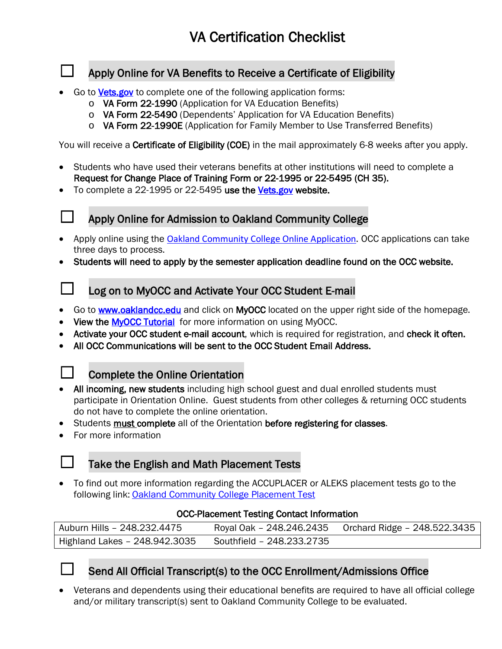#### Apply Online for VA Benefits to Receive a Certificate of Eligibility

- Go to [Vets.gov](http://www.vets.gov/) to complete one of the following application forms:
	- o VA Form 22-1990 (Application for VA Education Benefits)
	- o VA Form 22-5490 (Dependents' Application for VA Education Benefits)
	- o VA Form 22-1990E (Application for Family Member to Use Transferred Benefits)

You will receive a **Certificate of Eligibility (COE)** in the mail approximately 6-8 weeks after you apply.

- Students who have used their veterans benefits at other institutions will need to complete a Request for Change Place of Training Form or 22-1995 or 22-5495 (CH 35).
- To complete a 22-1995 or 22-5495 use the [Vets.gov](http://www.vets.gov/) website.
- 

#### Apply Online for Admission to Oakland Community College

- Apply online using the [Oakland Community College Online Application](https://oaklandcc.elluciancrmrecruit.com/Admissions/Pages/createaccount.aspx). OCC applications can take three days to process.
- Students will need to apply by the semester application deadline found on the OCC website.

#### □ Log on to MyOCC and Activate Your OCC Student E-mail

- Go to **www.oaklandcc.edu** and click on **MyOCC** located on the upper right side of the homepage.
- View the **MyOCC Tutorial** for more information on using MyOCC.
- Activate your OCC student e-mail account, which is required for registration, and check it often.
- All OCC Communications will be sent to the OCC Student Email Address.



#### Complete the Online Orientation

- All incoming, new students including high school guest and dual enrolled students must participate in Orientation Online. Guest students from other colleges & returning OCC students do not have to complete the online orientation.
- Students must complete all of the Orientation before registering for classes.
- For more information

#### Take the English and Math Placement Tests

• To find out more information regarding the ACCUPLACER or ALEKS placement tests go to the following link: [Oakland Community College Placement Test](https://oaklandcc.edu/admissions/placement-testing/)

#### OCC-Placement Testing Contact Information

| Auburn Hills - 248.232.4475   |                           | Royal Oak - 248.246.2435    Qrchard Ridge - 248.522.3435 |
|-------------------------------|---------------------------|----------------------------------------------------------|
| Highland Lakes - 248.942.3035 | Southfield - 248.233.2735 |                                                          |

#### Send All Official Transcript(s) to the OCC Enrollment/Admissions Office

• Veterans and dependents using their educational benefits are required to have all official college and/or military transcript(s) sent to Oakland Community College to be evaluated.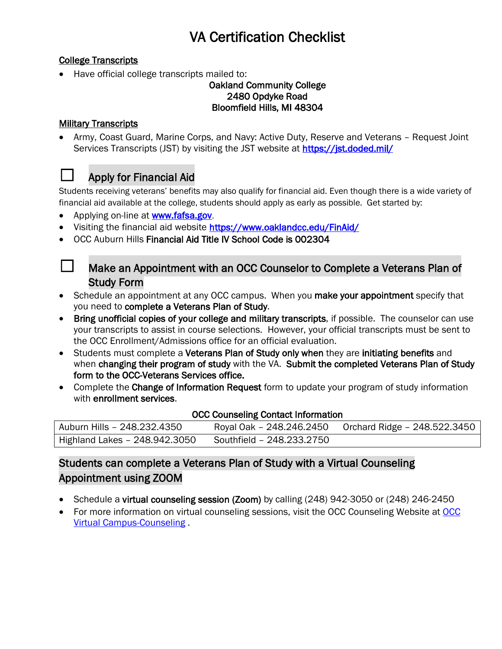#### College Transcripts

• Have official college transcripts mailed to:

#### Oakland Community College 2480 Opdyke Road Bloomfield Hills, MI 48304

#### **Military Transcripts**

• Army, Coast Guard, Marine Corps, and Navy: Active Duty, Reserve and Veterans – Request Joint Services Transcripts (JST) by visiting the JST website at https://jst.doded.mil/



#### ☐ Apply for Financial Aid

Students receiving veterans' benefits may also qualify for financial aid. Even though there is a wide variety of financial aid available at the college, students should apply as early as possible. Get started by:

- Applying on-line at **www.fafsa.gov**.
- Visiting the financial aid website<https://www.oaklandcc.edu/FinAid/>
- OCC Auburn Hills Financial Aid Title IV School Code is 002304



#### $\Box$  Make an Appointment with an OCC Counselor to Complete a Veterans Plan of Study Form

- Schedule an appointment at any OCC campus. When you make your appointment specify that you need to complete a Veterans Plan of Study.
- Bring unofficial copies of your college and military transcripts, if possible. The counselor can use your transcripts to assist in course selections. However, your official transcripts must be sent to the OCC Enrollment/Admissions office for an official evaluation.
- Students must complete a Veterans Plan of Study only when they are initiating benefits and when changing their program of study with the VA. Submit the completed Veterans Plan of Study form to the OCC-Veterans Services office.
- Complete the Change of Information Request form to update your program of study information with enrollment services.

#### OCC Counseling Contact Information

| Auburn Hills - 248.232.4350   |                           | Royal Oak - 248.246.2450 Orchard Ridge - 248.522.3450 |
|-------------------------------|---------------------------|-------------------------------------------------------|
| Highland Lakes - 248.942.3050 | Southfield - 248.233.2750 |                                                       |

#### Students can complete a Veterans Plan of Study with a Virtual Counseling Appointment using ZOOM

- Schedule a virtual counseling session (Zoom) by calling (248) 942-3050 or (248) 246-2450
- For more information on virtual counseling sessions, visit the [OCC](https://www.oaklandcc.edu/virtualcampus/student/counseling.aspx#contactus) Counseling Website at OCC [Virtual Campus-Counseling](https://www.oaklandcc.edu/virtualcampus/student/counseling.aspx#contactus) .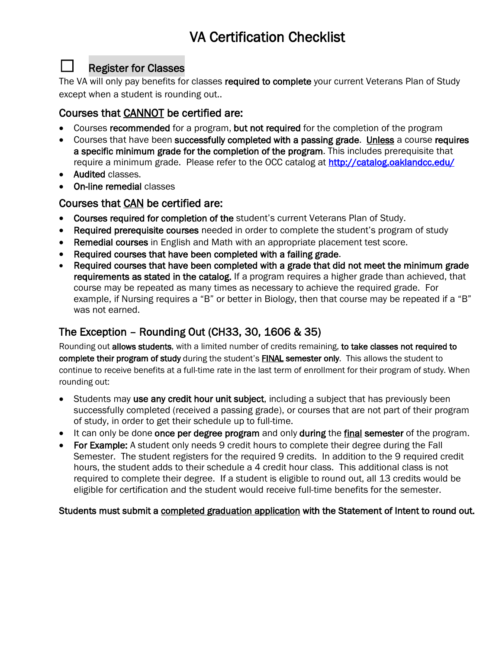#### ☐ Register for Classes

The VA will only pay benefits for classes required to complete your current Veterans Plan of Study except when a student is rounding out..

#### Courses that CANNOT be certified are:

- Courses recommended for a program, but not required for the completion of the program
- Courses that have been successfully completed with a passing grade. Unless a course requires a specific minimum grade for the completion of the program. This includes prerequisite that require a minimum grade. Please refer to the OCC catalog at<http://catalog.oaklandcc.edu/>
- Audited classes.
- On-line remedial classes

#### Courses that CAN be certified are:

- Courses required for completion of the student's current Veterans Plan of Study.
- Required prerequisite courses needed in order to complete the student's program of study
- Remedial courses in English and Math with an appropriate placement test score.
- Required courses that have been completed with a failing grade.
- Required courses that have been completed with a grade that did not meet the minimum grade requirements as stated in the catalog. If a program requires a higher grade than achieved, that course may be repeated as many times as necessary to achieve the required grade. For example, if Nursing requires a "B" or better in Biology, then that course may be repeated if a "B" was not earned.

#### The Exception – Rounding Out (CH33, 30, 1606 & 35)

Rounding out allows students, with a limited number of credits remaining, to take classes not required to complete their program of study during the student's **FINAL** semester only. This allows the student to continue to receive benefits at a full-time rate in the last term of enrollment for their program of study. When rounding out:

- Students may use any credit hour unit subject, including a subject that has previously been successfully completed (received a passing grade), or courses that are not part of their program of study, in order to get their schedule up to full-time.
- It can only be done once per degree program and only during the final semester of the program.
- For Example: A student only needs 9 credit hours to complete their degree during the Fall Semester. The student registers for the required 9 credits. In addition to the 9 required credit hours, the student adds to their schedule a 4 credit hour class. This additional class is not required to complete their degree. If a student is eligible to round out, all 13 credits would be eligible for certification and the student would receive full-time benefits for the semester.

#### Students must submit a completed graduation application with the Statement of Intent to round out.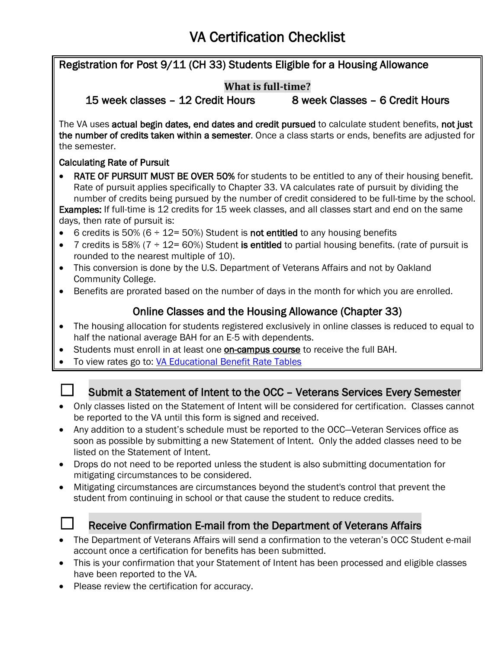Registration for Post 9/11 (CH 33) Students Eligible for a Housing Allowance **What is full-time?** 15 week classes – 12 Credit Hours 8 week Classes – 6 Credit Hours The VA uses actual begin dates, end dates and credit pursued to calculate student benefits, not just the number of credits taken within a semester. Once a class starts or ends, benefits are adjusted for the semester. Calculating Rate of Pursuit • RATE OF PURSUIT MUST BE OVER 50% for students to be entitled to any of their housing benefit. Rate of pursuit applies specifically to Chapter 33. VA calculates rate of pursuit by dividing the number of credits being pursued by the number of credit considered to be full-time by the school. Examples: If full-time is 12 credits for 15 week classes, and all classes start and end on the same days, then rate of pursuit is: • 6 credits is 50% (6  $\div$  12= 50%) Student is **not entitled** to any housing benefits • 7 credits is 58% ( $7 \div 12 = 60$ %) Student is entitled to partial housing benefits. (rate of pursuit is rounded to the nearest multiple of 10). • This conversion is done by the U.S. Department of Veterans Affairs and not by Oakland Community College. • Benefits are prorated based on the number of days in the month for which you are enrolled. Online Classes and the Housing Allowance (Chapter 33) • The housing allocation for students registered exclusively in online classes is reduced to equal to half the national average BAH for an E-5 with dependents. Students must enroll in at least one on-campus course to receive the full BAH. • To view rates go to: [VA Educational Benefit Rate Tables](http://www.benefits.va.gov/GIBILL/resources/benefits_resources/rate_tables.asp)

#### Submit a Statement of Intent to the OCC – Veterans Services Every Semester

- Only classes listed on the Statement of Intent will be considered for certification. Classes cannot be reported to the VA until this form is signed and received.
- Any addition to a student's schedule must be reported to the OCC—Veteran Services office as soon as possible by submitting a new Statement of Intent. Only the added classes need to be listed on the Statement of Intent.
- Drops do not need to be reported unless the student is also submitting documentation for mitigating circumstances to be considered.
- Mitigating circumstances are circumstances beyond the student's control that prevent the student from continuing in school or that cause the student to reduce credits.



#### Receive Confirmation E-mail from the Department of Veterans Affairs

- The Department of Veterans Affairs will send a confirmation to the veteran's OCC Student e-mail account once a certification for benefits has been submitted.
- This is your confirmation that your Statement of Intent has been processed and eligible classes have been reported to the VA.
- Please review the certification for accuracy.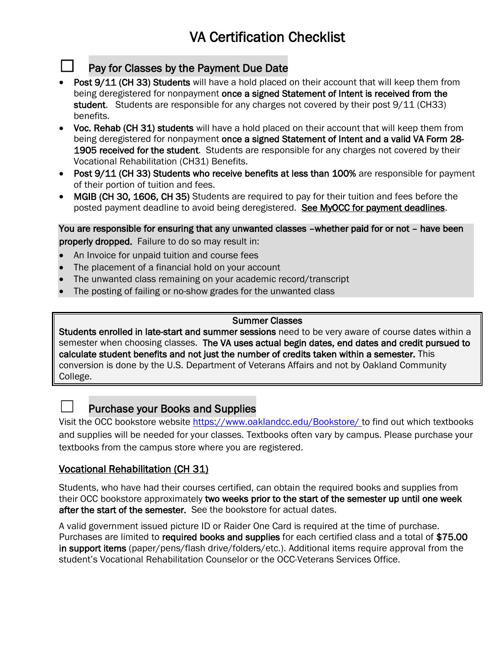#### Pay for Classes by the Payment Due Date

- Post 9/11 (CH 33) Students will have a hold placed on their account that will keep them from being deregistered for nonpayment once a signed Statement of Intent is received from the student. Students are responsible for any charges not covered by their post 9/11 (CH33) benefits.
- Voc. Rehab (CH 31) students will have a hold placed on their account that will keep them from being deregistered for nonpayment once a signed Statement of Intent and a valid VA Form 28-1905 received for the student. Students are responsible for any charges not covered by their Vocational Rehabilitation (CH31) Benefits.
- Post 9/11 (CH 33) Students who receive benefits at less than 100% are responsible for payment of their portion of tuition and fees.
- MGIB (CH 30, 1606, CH 35) Students are required to pay for their tuition and fees before the posted payment deadline to avoid being deregistered. See MyOCC for payment deadlines.

You are responsible for ensuring that any unwanted classes –whether paid for or not – have been properly dropped. Failure to do so may result in:

- An Invoice for unpaid tuition and course fees
- The placement of a financial hold on your account
- The unwanted class remaining on your academic record/transcript
- The posting of failing or no-show grades for the unwanted class

#### Summer Classes

Students enrolled in late-start and summer sessions need to be very aware of course dates within a semester when choosing classes. The VA uses actual begin dates, end dates and credit pursued to calculate student benefits and not just the number of credits taken within a semester. This conversion is done by the U.S. Department of Veterans Affairs and not by Oakland Community College.

#### Purchase your Books and Supplies

Visit the OCC bookstore website<https://www.oaklandcc.edu/Bookstore/> to find out which textbooks and supplies will be needed for your classes. Textbooks often vary by campus. Please purchase your textbooks from the campus store where you are registered.

#### Vocational Rehabilitation (CH 31)

Students, who have had their courses certified, can obtain the required books and supplies from their OCC bookstore approximately two weeks prior to the start of the semester up until one week after the start of the semester. See the bookstore for actual dates.

A valid government issued picture ID or Raider One Card is required at the time of purchase. Purchases are limited to required books and supplies for each certified class and a total of \$75.00 in support items (paper/pens/flash drive/folders/etc.). Additional items require approval from the student's Vocational Rehabilitation Counselor or the OCC-Veterans Services Office.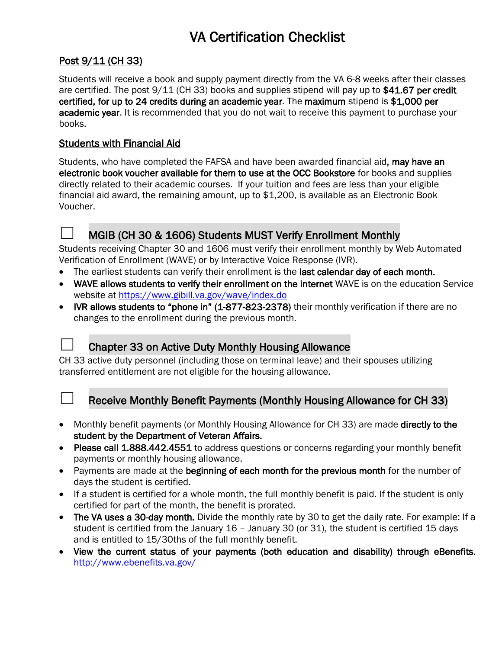#### Post 9/11 (CH 33)

Students will receive a book and supply payment directly from the VA 6-8 weeks after their classes are certified. The post 9/11 (CH 33) books and supplies stipend will pay up to \$41.67 per credit certified, for up to 24 credits during an academic year. The maximum stipend is \$1,000 per academic year. It is recommended that you do not wait to receive this payment to purchase your books.

#### Students with Financial Aid

Students, who have completed the FAFSA and have been awarded financial aid, may have an electronic book voucher available for them to use at the OCC Bookstore for books and supplies directly related to their academic courses. If your tuition and fees are less than your eligible financial aid award, the remaining amount, up to \$1,200, is available as an Electronic Book Voucher.



#### MGIB (CH 30 & 1606) Students MUST Verify Enrollment Monthly

Students receiving Chapter 30 and 1606 must verify their enrollment monthly by Web Automated Verification of Enrollment (WAVE) or by Interactive Voice Response (IVR).

- The earliest students can verify their enrollment is the last calendar day of each month.
- WAVE allows students to verify their enrollment on the internet WAVE is on the education Service website at<https://www.gibill.va.gov/wave/index.do>
- IVR allows students to "phone in" (1-877-823-2378) their monthly verification if there are no changes to the enrollment during the previous month.



#### Chapter 33 on Active Duty Monthly Housing Allowance

CH 33 active duty personnel (including those on terminal leave) and their spouses utilizing transferred entitlement are not eligible for the housing allowance.



#### Receive Monthly Benefit Payments (Monthly Housing Allowance for CH 33)

- Monthly benefit payments (or Monthly Housing Allowance for CH 33) are made directly to the student by the Department of Veteran Affairs.
- Please call 1.888.442.4551 to address questions or concerns regarding your monthly benefit payments or monthly housing allowance.
- Payments are made at the beginning of each month for the previous month for the number of days the student is certified.
- If a student is certified for a whole month, the full monthly benefit is paid. If the student is only certified for part of the month, the benefit is prorated.
- The VA uses a 30-day month. Divide the monthly rate by 30 to get the daily rate. For example: If a student is certified from the January 16 – January 30 (or 31), the student is certified 15 days and is entitled to 15/30ths of the full monthly benefit.
- View the current status of your payments (both education and disability) through eBenefits. <http://www.ebenefits.va.gov/>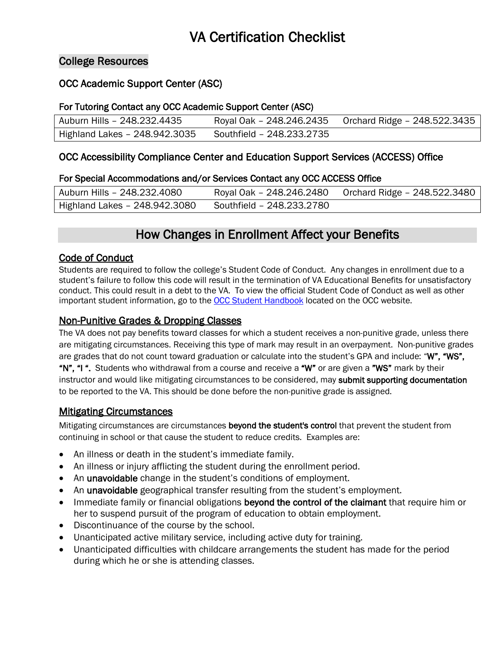#### College Resources

#### OCC Academic Support Center (ASC)

#### For Tutoring Contact any OCC Academic Support Center (ASC)

| Auburn Hills - 248.232.4435   |                           | Royal Oak - 248.246.2435 Orchard Ridge - 248.522.3435 |
|-------------------------------|---------------------------|-------------------------------------------------------|
| Highland Lakes - 248.942.3035 | Southfield - 248.233.2735 |                                                       |

#### OCC Accessibility Compliance Center and Education Support Services (ACCESS) Office

#### For Special Accommodations and/or Services Contact any OCC ACCESS Office

| Auburn Hills - 248.232.4080   |                           | Royal Oak - 248.246.2480 Orchard Ridge - 248.522.3480 |
|-------------------------------|---------------------------|-------------------------------------------------------|
| Highland Lakes - 248.942.3080 | Southfield - 248.233.2780 |                                                       |

### How Changes in Enrollment Affect your Benefits

#### Code of Conduct

Students are required to follow the college's Student Code of Conduct. Any changes in enrollment due to a student's failure to follow this code will result in the termination of VA Educational Benefits for unsatisfactory conduct. This could result in a debt to the VA. To view the official Student Code of Conduct as well as other important student information, go to th[e OCC Student Handbook](https://oaklandcc.edu/currentstudents/studenthandbook.aspx#code_of_conduct) located on the OCC website.

#### Non-Punitive Grades & Dropping Classes

The VA does not pay benefits toward classes for which a student receives a non-punitive grade, unless there are mitigating circumstances. Receiving this type of mark may result in an overpayment. Non-punitive grades are grades that do not count toward graduation or calculate into the student's GPA and include: "W", "WS", "N", "I ". Students who withdrawal from a course and receive a "W" or are given a "WS" mark by their instructor and would like mitigating circumstances to be considered, may submit supporting documentation to be reported to the VA. This should be done before the non-punitive grade is assigned.

#### Mitigating Circumstances

Mitigating circumstances are circumstances beyond the student's control that prevent the student from continuing in school or that cause the student to reduce credits. Examples are:

- An illness or death in the student's immediate family.
- An illness or injury afflicting the student during the enrollment period.
- An unavoidable change in the student's conditions of employment.
- An unavoidable geographical transfer resulting from the student's employment.
- Immediate family or financial obligations beyond the control of the claimant that require him or her to suspend pursuit of the program of education to obtain employment.
- Discontinuance of the course by the school.
- Unanticipated active military service, including active duty for training.
- Unanticipated difficulties with childcare arrangements the student has made for the period during which he or she is attending classes.